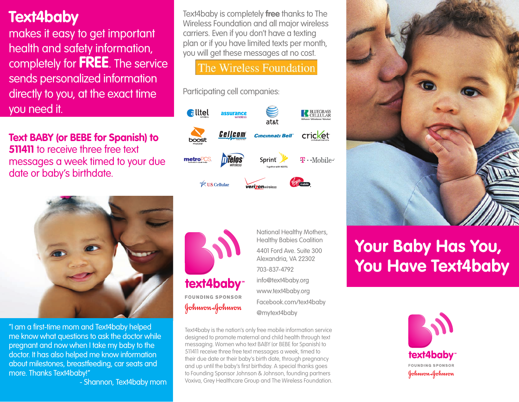### **Text4baby**

makes it easy to get important health and safety information, completely for **FREE**. The service sends personalized information directly to you, at the exact time you need it.

**Text BABY (or BEBE for Spanish) to 511411** to receive three free text messages a week timed to your due date or baby's birthdate.



"I am a first-time mom and Text4baby helped me know what questions to ask the doctor while pregnant and now when I take my baby to the doctor. It has also helped me know information about milestones, breastfeeding, car seats and more. Thanks Text4baby!"

- Shannon, Text4baby mom

Text4baby is completely **free** thanks to The Wireless Foundation and all major wireless carriers. Even if you don't have a texting plan or if you have limited texts per month, you will get these messages at no cost.

The Wireless Foundation

Participating cell companies:





National Healthy Mothers, Healthy Babies Coalition 4401 Ford Ave. Suite 300 Alexandria, VA 22302 703-837-4792 info@text4baby.org www.text4baby.org Facebook.com/text4baby @mytext4baby

Text4baby is the nation's only free mobile information service designed to promote maternal and child health through text messaging. Women who text BABY (or BEBE for Spanish) to 511411 receive three free text messages a week, timed to their due date or their baby's birth date, through pregnancy and up until the baby's first birthday. A special thanks goes to Founding Sponsor Johnson & Johnson, founding partners Voxiva, Grey Healthcare Group and The Wireless Foundation.



# **Your Baby Has You, You Have Text4baby**